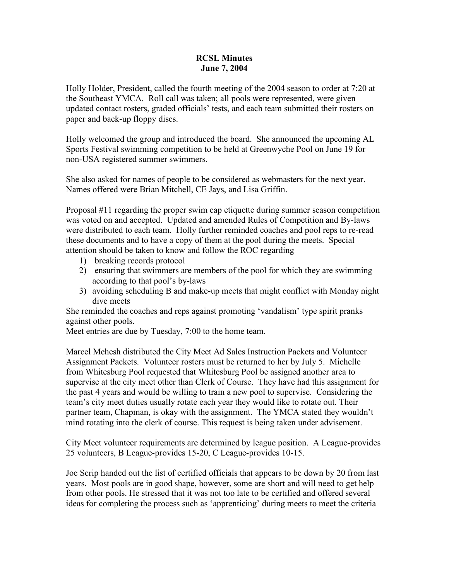## **RCSL Minutes June 7, 2004**

Holly Holder, President, called the fourth meeting of the 2004 season to order at 7:20 at the Southeast YMCA. Roll call was taken; all pools were represented, were given updated contact rosters, graded officials' tests, and each team submitted their rosters on paper and back-up floppy discs.

Holly welcomed the group and introduced the board. She announced the upcoming AL Sports Festival swimming competition to be held at Greenwyche Pool on June 19 for non-USA registered summer swimmers.

She also asked for names of people to be considered as webmasters for the next year. Names offered were Brian Mitchell, CE Jays, and Lisa Griffin.

Proposal #11 regarding the proper swim cap etiquette during summer season competition was voted on and accepted. Updated and amended Rules of Competition and By-laws were distributed to each team. Holly further reminded coaches and pool reps to re-read these documents and to have a copy of them at the pool during the meets. Special attention should be taken to know and follow the ROC regarding

- 1) breaking records protocol
- 2) ensuring that swimmers are members of the pool for which they are swimming according to that pool's by-laws
- 3) avoiding scheduling B and make-up meets that might conflict with Monday night dive meets

She reminded the coaches and reps against promoting 'vandalism' type spirit pranks against other pools.

Meet entries are due by Tuesday, 7:00 to the home team.

Marcel Mehesh distributed the City Meet Ad Sales Instruction Packets and Volunteer Assignment Packets. Volunteer rosters must be returned to her by July 5. Michelle from Whitesburg Pool requested that Whitesburg Pool be assigned another area to supervise at the city meet other than Clerk of Course. They have had this assignment for the past 4 years and would be willing to train a new pool to supervise. Considering the team's city meet duties usually rotate each year they would like to rotate out. Their partner team, Chapman, is okay with the assignment. The YMCA stated they wouldn't mind rotating into the clerk of course. This request is being taken under advisement.

City Meet volunteer requirements are determined by league position. A League-provides 25 volunteers, B League-provides 15-20, C League-provides 10-15.

Joe Scrip handed out the list of certified officials that appears to be down by 20 from last years. Most pools are in good shape, however, some are short and will need to get help from other pools. He stressed that it was not too late to be certified and offered several ideas for completing the process such as 'apprenticing' during meets to meet the criteria